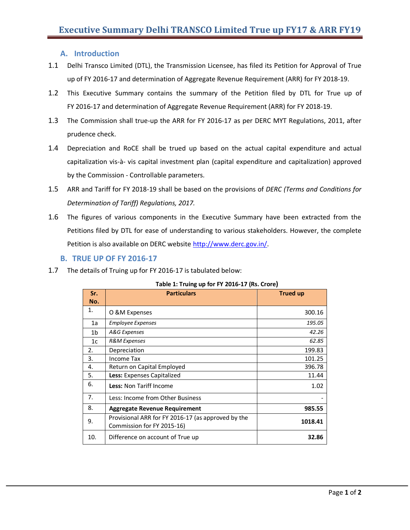# **A. Introduction**

- 1.1 Delhi Transco Limited (DTL), the Transmission Licensee, has filed its Petition for Approval of True up of FY 2016-17 and determination of Aggregate Revenue Requirement (ARR) for FY 2018-19.
- 1.2 This Executive Summary contains the summary of the Petition filed by DTL for True up of FY 2016-17 and determination of Aggregate Revenue Requirement (ARR) for FY 2018-19.
- 1.3 The Commission shall true-up the ARR for FY 2016-17 as per DERC MYT Regulations, 2011, after prudence check.
- 1.4 Depreciation and RoCE shall be trued up based on the actual capital expenditure and actual capitalization vis-à- vis capital investment plan (capital expenditure and capitalization) approved by the Commission - Controllable parameters.
- 1.5 ARR and Tariff for FY 2018-19 shall be based on the provisions of *DERC (Terms and Conditions for Determination of Tariff) Regulations, 2017.*
- 1.6 The figures of various components in the Executive Summary have been extracted from the Petitions filed by DTL for ease of understanding to various stakeholders. However, the complete Petition is also available on DERC website [http://www.derc.gov.in/.](http://www.derc.gov.in/)

## **B. TRUE UP OF FY 2016-17**

1.7 The details of Truing up for FY 2016-17 is tabulated below:

| Sr. | Table 1. Hung up for FT 2010-17 (ns. Croig)<br><b>Particulars</b>                | <b>Trued up</b> |
|-----|----------------------------------------------------------------------------------|-----------------|
| No. |                                                                                  |                 |
| 1.  | O &M Expenses                                                                    | 300.16          |
| 1a  | <b>Employee Expenses</b>                                                         | 195.05          |
| 1b  | A&G Expenses                                                                     | 42.26           |
| 1c  | <b>R&amp;M Expenses</b>                                                          | 62.85           |
| 2.  | Depreciation                                                                     | 199.83          |
| 3.  | Income Tax                                                                       | 101.25          |
| 4.  | Return on Capital Employed                                                       | 396.78          |
| 5.  | Less: Expenses Capitalized                                                       | 11.44           |
| 6.  | Less: Non Tariff Income                                                          | 1.02            |
| 7.  | Less: Income from Other Business                                                 |                 |
| 8.  | <b>Aggregate Revenue Requirement</b>                                             | 985.55          |
| 9.  | Provisional ARR for FY 2016-17 (as approved by the<br>Commission for FY 2015-16) | 1018.41         |
| 10. | Difference on account of True up                                                 | 32.86           |

#### **Table 1: Truing up for FY 2016-17 (Rs. Crore)**